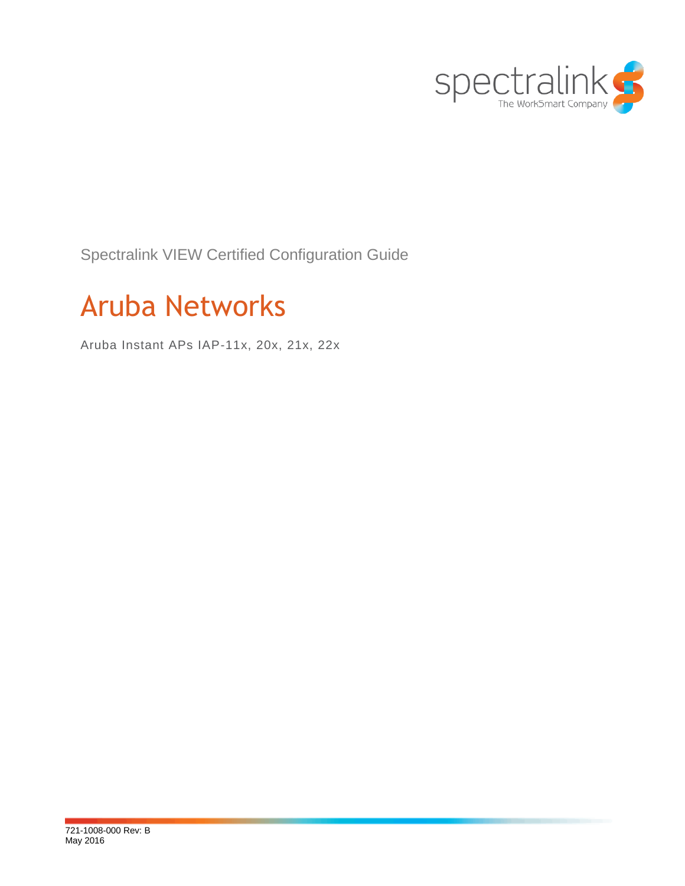

Spectralink VIEW Certified Configuration Guide

# Aruba Networks

Aruba Instant APs IAP-11x, 20x, 21x, 22x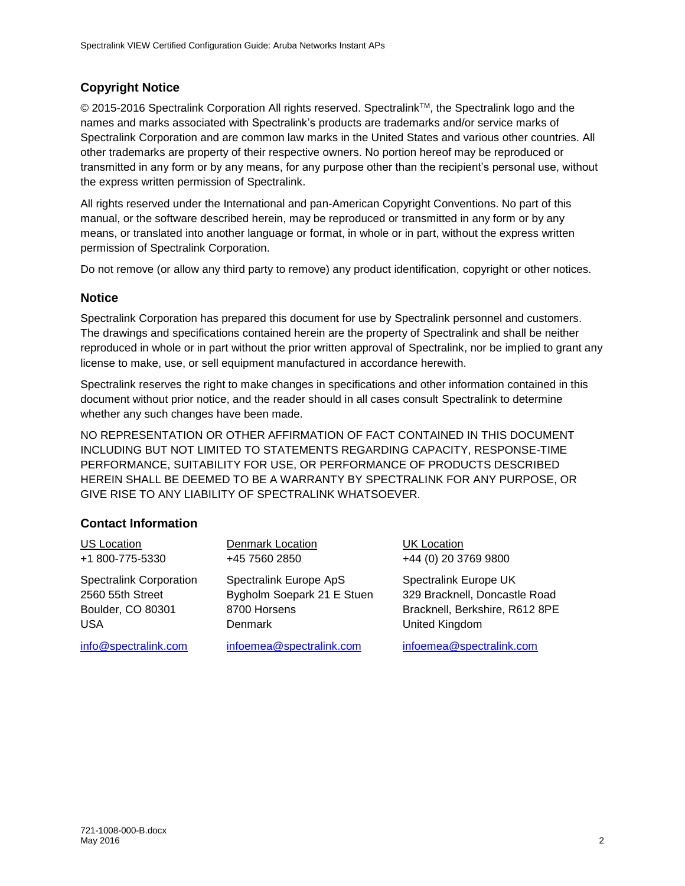### **Copyright Notice**

© 2015-2016 Spectralink Corporation All rights reserved. SpectralinkTM, the Spectralink logo and the names and marks associated with Spectralink's products are trademarks and/or service marks of Spectralink Corporation and are common law marks in the United States and various other countries. All other trademarks are property of their respective owners. No portion hereof may be reproduced or transmitted in any form or by any means, for any purpose other than the recipient's personal use, without the express written permission of Spectralink.

All rights reserved under the International and pan-American Copyright Conventions. No part of this manual, or the software described herein, may be reproduced or transmitted in any form or by any means, or translated into another language or format, in whole or in part, without the express written permission of Spectralink Corporation.

Do not remove (or allow any third party to remove) any product identification, copyright or other notices.

### **Notice**

Spectralink Corporation has prepared this document for use by Spectralink personnel and customers. The drawings and specifications contained herein are the property of Spectralink and shall be neither reproduced in whole or in part without the prior written approval of Spectralink, nor be implied to grant any license to make, use, or sell equipment manufactured in accordance herewith.

Spectralink reserves the right to make changes in specifications and other information contained in this document without prior notice, and the reader should in all cases consult Spectralink to determine whether any such changes have been made.

NO REPRESENTATION OR OTHER AFFIRMATION OF FACT CONTAINED IN THIS DOCUMENT INCLUDING BUT NOT LIMITED TO STATEMENTS REGARDING CAPACITY, RESPONSE-TIME PERFORMANCE, SUITABILITY FOR USE, OR PERFORMANCE OF PRODUCTS DESCRIBED HEREIN SHALL BE DEEMED TO BE A WARRANTY BY SPECTRALINK FOR ANY PURPOSE, OR GIVE RISE TO ANY LIABILITY OF SPECTRALINK WHATSOEVER.

### **Contact Information**

| US Location                    | <b>Denmark Location</b>    | UK Location                    |
|--------------------------------|----------------------------|--------------------------------|
| +1 800-775-5330                | +45 7560 2850              | +44 (0) 20 3769 9800           |
| <b>Spectralink Corporation</b> | Spectralink Europe ApS     | Spectralink Europe UK          |
| 2560 55th Street               | Bygholm Soepark 21 E Stuen | 329 Bracknell, Doncastle Road  |
| Boulder, CO 80301              | 8700 Horsens               | Bracknell, Berkshire, R612 8PE |
| USA                            | Denmark                    | United Kingdom                 |
| info@spectralink.com           | infoemea@spectralink.com   | infoemea@spectralink.com       |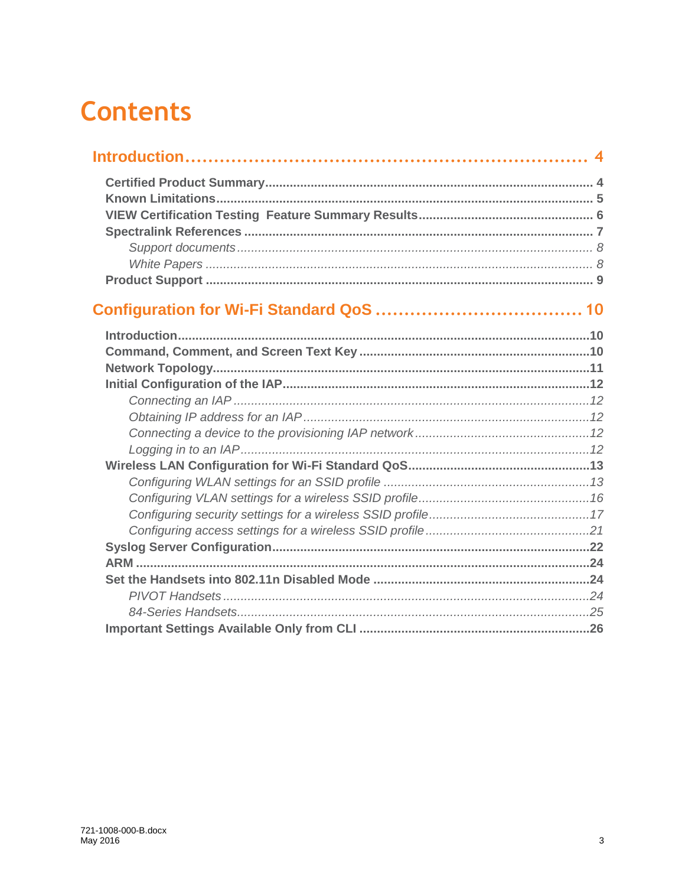# **Contents**

###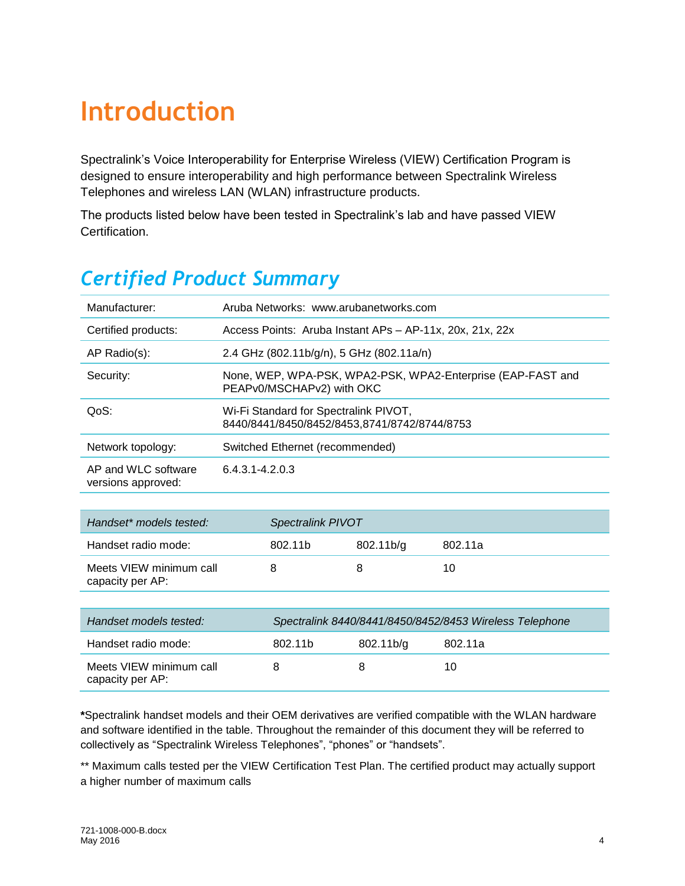# <span id="page-3-0"></span>**Introduction**

Spectralink's Voice Interoperability for Enterprise Wireless (VIEW) Certification Program is designed to ensure interoperability and high performance between Spectralink Wireless Telephones and wireless LAN (WLAN) infrastructure products.

The products listed below have been tested in Spectralink's lab and have passed VIEW Certification.

## <span id="page-3-1"></span>*Certified Product Summary*

| Manufacturer:                               | Aruba Networks: www.arubanetworks.com                   |                                                                                       |            |                                                             |  |  |  |
|---------------------------------------------|---------------------------------------------------------|---------------------------------------------------------------------------------------|------------|-------------------------------------------------------------|--|--|--|
| Certified products:                         |                                                         | Access Points: Aruba Instant APs - AP-11x, 20x, 21x, 22x                              |            |                                                             |  |  |  |
| AP Radio(s):                                |                                                         | 2.4 GHz (802.11b/g/n), 5 GHz (802.11a/n)                                              |            |                                                             |  |  |  |
| Security:                                   |                                                         | PEAPv0/MSCHAPv2) with OKC                                                             |            | None, WEP, WPA-PSK, WPA2-PSK, WPA2-Enterprise (EAP-FAST and |  |  |  |
| QoS:                                        |                                                         | Wi-Fi Standard for Spectralink PIVOT,<br>8440/8441/8450/8452/8453,8741/8742/8744/8753 |            |                                                             |  |  |  |
| Network topology:                           |                                                         | Switched Ethernet (recommended)                                                       |            |                                                             |  |  |  |
| AP and WLC software<br>versions approved:   |                                                         | 6.4.3.1-4.2.0.3                                                                       |            |                                                             |  |  |  |
|                                             |                                                         |                                                                                       |            |                                                             |  |  |  |
| Handset* models tested:                     |                                                         | Spectralink PIVOT                                                                     |            |                                                             |  |  |  |
| Handset radio mode:                         |                                                         | 802.11b                                                                               | 802.11 b/g | 802.11a                                                     |  |  |  |
| Meets VIEW minimum call<br>capacity per AP: |                                                         | 8                                                                                     | 8          | 10                                                          |  |  |  |
|                                             |                                                         |                                                                                       |            |                                                             |  |  |  |
| Handset models tested:                      | Spectralink 8440/8441/8450/8452/8453 Wireless Telephone |                                                                                       |            |                                                             |  |  |  |
| Handset radio mode:                         |                                                         | 802.11b                                                                               | 802.11b/g  | 802.11a                                                     |  |  |  |
| Meets VIEW minimum call<br>capacity per AP: |                                                         | 8                                                                                     | 8          | 10                                                          |  |  |  |
|                                             |                                                         |                                                                                       |            |                                                             |  |  |  |

**\***Spectralink handset models and their OEM derivatives are verified compatible with the WLAN hardware and software identified in the table. Throughout the remainder of this document they will be referred to collectively as "Spectralink Wireless Telephones", "phones" or "handsets".

\*\* Maximum calls tested per the VIEW Certification Test Plan. The certified product may actually support a higher number of maximum calls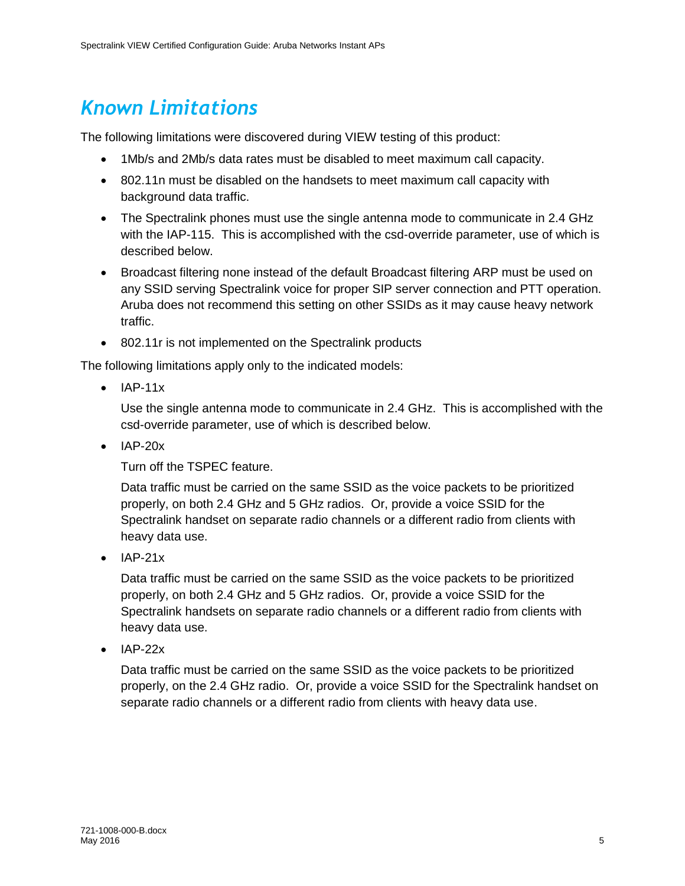## <span id="page-4-0"></span>*Known Limitations*

The following limitations were discovered during VIEW testing of this product:

- 1Mb/s and 2Mb/s data rates must be disabled to meet maximum call capacity.
- 802.11n must be disabled on the handsets to meet maximum call capacity with background data traffic.
- The Spectralink phones must use the single antenna mode to communicate in 2.4 GHz with the IAP-115. This is accomplished with the csd-override parameter, use of which is described below.
- Broadcast filtering none instead of the default Broadcast filtering ARP must be used on any SSID serving Spectralink voice for proper SIP server connection and PTT operation. Aruba does not recommend this setting on other SSIDs as it may cause heavy network traffic.
- 802.11r is not implemented on the Spectralink products

The following limitations apply only to the indicated models:

 $\bullet$  IAP-11 $x$ 

Use the single antenna mode to communicate in 2.4 GHz. This is accomplished with the csd-override parameter, use of which is described below.

 $\bullet$  IAP-20 $x$ 

Turn off the TSPEC feature.

Data traffic must be carried on the same SSID as the voice packets to be prioritized properly, on both 2.4 GHz and 5 GHz radios. Or, provide a voice SSID for the Spectralink handset on separate radio channels or a different radio from clients with heavy data use.

 $\bullet$  IAP-21 $x$ 

Data traffic must be carried on the same SSID as the voice packets to be prioritized properly, on both 2.4 GHz and 5 GHz radios. Or, provide a voice SSID for the Spectralink handsets on separate radio channels or a different radio from clients with heavy data use.

 $\bullet$  IAP-22 $x$ 

Data traffic must be carried on the same SSID as the voice packets to be prioritized properly, on the 2.4 GHz radio. Or, provide a voice SSID for the Spectralink handset on separate radio channels or a different radio from clients with heavy data use.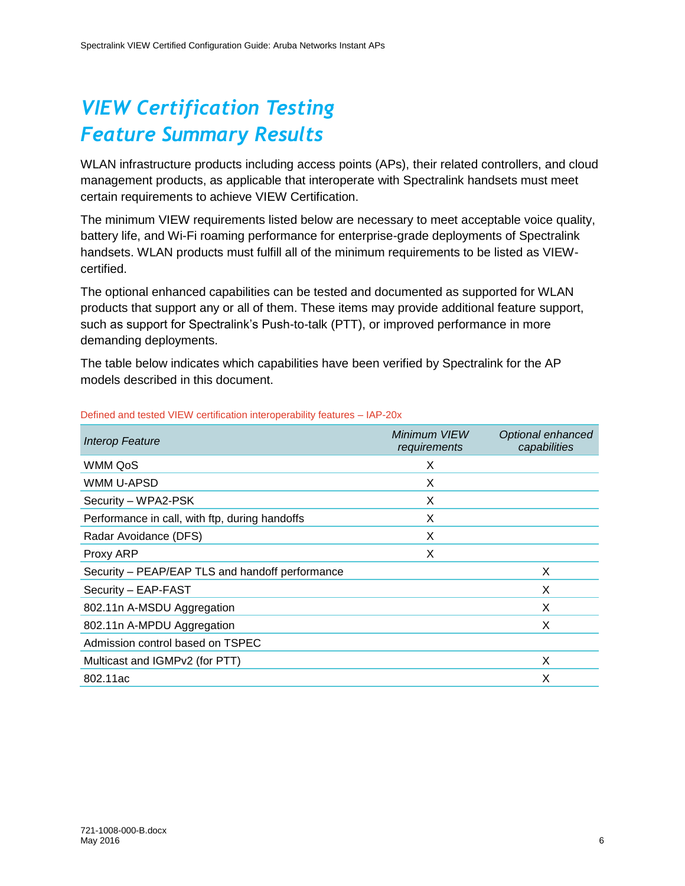## <span id="page-5-0"></span>*VIEW Certification Testing Feature Summary Results*

WLAN infrastructure products including access points (APs), their related controllers, and cloud management products, as applicable that interoperate with Spectralink handsets must meet certain requirements to achieve VIEW Certification.

The minimum VIEW requirements listed below are necessary to meet acceptable voice quality, battery life, and Wi-Fi roaming performance for enterprise-grade deployments of Spectralink handsets. WLAN products must fulfill all of the minimum requirements to be listed as VIEWcertified.

The optional enhanced capabilities can be tested and documented as supported for WLAN products that support any or all of them. These items may provide additional feature support, such as support for Spectralink's Push-to-talk (PTT), or improved performance in more demanding deployments.

The table below indicates which capabilities have been verified by Spectralink for the AP models described in this document.

| Interop Feature                                 | Minimum VIEW<br>requirements | Optional enhanced<br>capabilities |
|-------------------------------------------------|------------------------------|-----------------------------------|
| WMM QoS                                         | X                            |                                   |
| WMM U-APSD                                      | X                            |                                   |
| Security - WPA2-PSK                             | X                            |                                   |
| Performance in call, with ftp, during handoffs  | X                            |                                   |
| Radar Avoidance (DFS)                           | X                            |                                   |
| Proxy ARP                                       | X                            |                                   |
| Security - PEAP/EAP TLS and handoff performance |                              | X                                 |
| Security - EAP-FAST                             |                              | X                                 |
| 802.11n A-MSDU Aggregation                      |                              | X                                 |
| 802.11n A-MPDU Aggregation                      |                              | X                                 |
| Admission control based on TSPEC                |                              |                                   |
| Multicast and IGMPv2 (for PTT)                  |                              | X                                 |
| 802.11ac                                        |                              | X                                 |

Defined and tested VIEW certification interoperability features – IAP-20x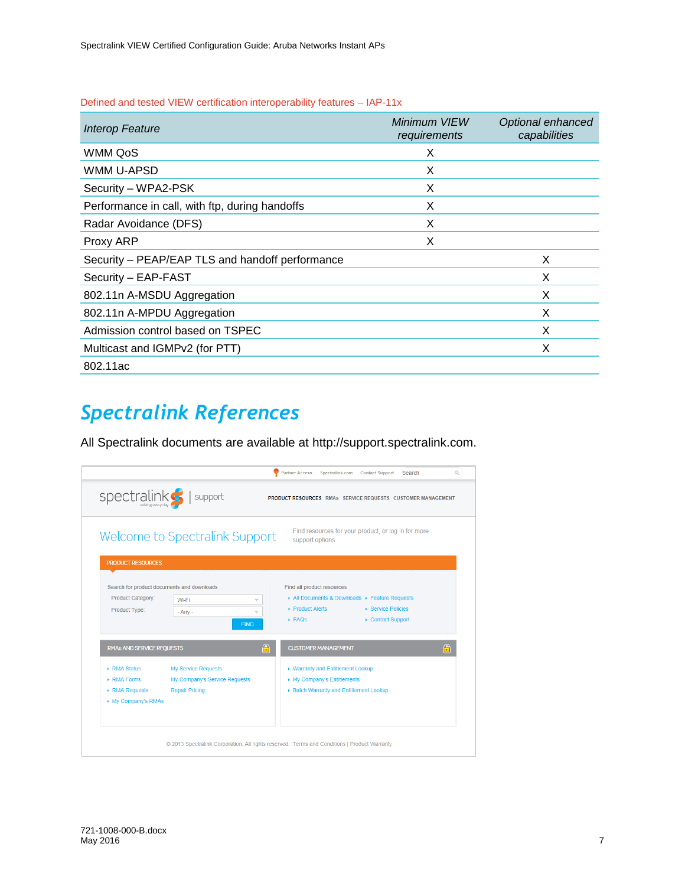### Defined and tested VIEW certification interoperability features – IAP-11x

| <b>Interop Feature</b>                          | Minimum VIEW<br>requirements | Optional enhanced<br>capabilities |
|-------------------------------------------------|------------------------------|-----------------------------------|
| WMM QoS                                         | X                            |                                   |
| WMM U-APSD                                      | X                            |                                   |
| Security - WPA2-PSK                             | X                            |                                   |
| Performance in call, with ftp, during handoffs  | X                            |                                   |
| Radar Avoidance (DFS)                           | X                            |                                   |
| Proxy ARP                                       | X                            |                                   |
| Security - PEAP/EAP TLS and handoff performance |                              | X                                 |
| Security - EAP-FAST                             |                              | X                                 |
| 802.11n A-MSDU Aggregation                      |                              | X                                 |
| 802.11n A-MPDU Aggregation                      |                              | X                                 |
| Admission control based on TSPEC                |                              | X                                 |
| Multicast and IGMPv2 (for PTT)                  |                              | X                                 |
| 802.11ac                                        |                              |                                   |

## <span id="page-6-0"></span>*Spectralink References*

All Spectralink documents are available at [http://support.spectralink.com.](http://support.spectralink.com/)

|                                                                      |                                                                                      | <b>Partner Access</b><br><b>Search</b><br>Spectralink.com Contact Support                                                                                          |
|----------------------------------------------------------------------|--------------------------------------------------------------------------------------|--------------------------------------------------------------------------------------------------------------------------------------------------------------------|
| <b>spectralink</b>                                                   | support                                                                              | PRODUCT RESOURCES RMAs SERVICE REQUESTS CUSTOMER MANAGEMENT                                                                                                        |
|                                                                      | Welcome to Spectralink Support                                                       | Find resources for your product, or log in for more<br>support options.                                                                                            |
| <b>PRODUCT RESOURCES</b>                                             |                                                                                      |                                                                                                                                                                    |
| <b>Product Category:</b><br>Product Type:                            | Search for product documents and downloads<br>Wi-Fi<br>$-$ Any $-$<br><b>FIND</b>    | Find all product resources<br>All Documents & Downloads > Feature Requests<br>▶ Product Alerts<br>▶ Service Policies<br>$\triangleright$ FAQs<br>▶ Contact Support |
| <b>RMAS AND SERVICE REQUESTS</b>                                     | A                                                                                    | $\bigcirc$<br><b>CUSTOMER MANAGEMENT</b>                                                                                                                           |
| ▶ RMA Status<br>▶ RMA Forms<br>▶ RMA Requests<br>▶ My Company's RMAs | <b>My Service Requests</b><br>My Company's Service Requests<br><b>Repair Pricing</b> | ▶ Warranty and Entitlement Lookup<br>My Company's Entitlements<br>▶ Batch Warranty and Entitlement Lookup                                                          |
|                                                                      |                                                                                      | © 2013 Spectralink Corporation, All rights reserved. Terms and Conditions   Product Warranty                                                                       |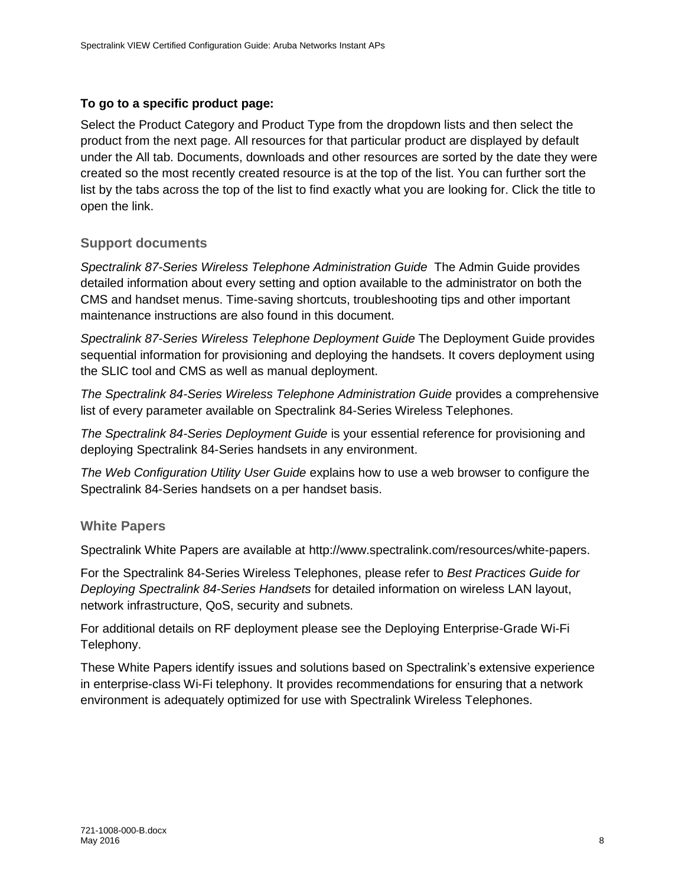### **To go to a specific product page:**

Select the Product Category and Product Type from the dropdown lists and then select the product from the next page. All resources for that particular product are displayed by default under the All tab. Documents, downloads and other resources are sorted by the date they were created so the most recently created resource is at the top of the list. You can further sort the list by the tabs across the top of the list to find exactly what you are looking for. Click the title to open the link.

### <span id="page-7-0"></span>**Support documents**

*Spectralink 87-Series Wireless Telephone Administration Guide* The Admin Guide provides detailed information about every setting and option available to the administrator on both the CMS and handset menus. Time-saving shortcuts, troubleshooting tips and other important maintenance instructions are also found in this document.

*Spectralink 87-Series Wireless Telephone Deployment Guide* The Deployment Guide provides sequential information for provisioning and deploying the handsets. It covers deployment using the SLIC tool and CMS as well as manual deployment.

*The Spectralink 84-Series Wireless Telephone Administration Guide* provides a comprehensive list of every parameter available on Spectralink 84-Series Wireless Telephones.

*The Spectralink 84-Series Deployment Guide* is your essential reference for provisioning and deploying Spectralink 84-Series handsets in any environment.

*The Web Configuration Utility User Guide* explains how to use a web browser to configure the Spectralink 84-Series handsets on a per handset basis.

### <span id="page-7-1"></span>**White Papers**

Spectralink White Papers are available at [http://www.spectralink.com/resources/white-papers.](http://www.spectralink.com/resources/white-papers)

For the Spectralink 84-Series Wireless Telephones, please refer to *Best Practices Guide for Deploying Spectralink 84-Series Handsets* for detailed information on wireless LAN layout, network infrastructure, QoS, security and subnets.

For additional details on RF deployment please see the Deploying Enterprise-Grade Wi-Fi Telephony.

These White Papers identify issues and solutions based on Spectralink's extensive experience in enterprise-class Wi-Fi telephony. It provides recommendations for ensuring that a network environment is adequately optimized for use with Spectralink Wireless Telephones.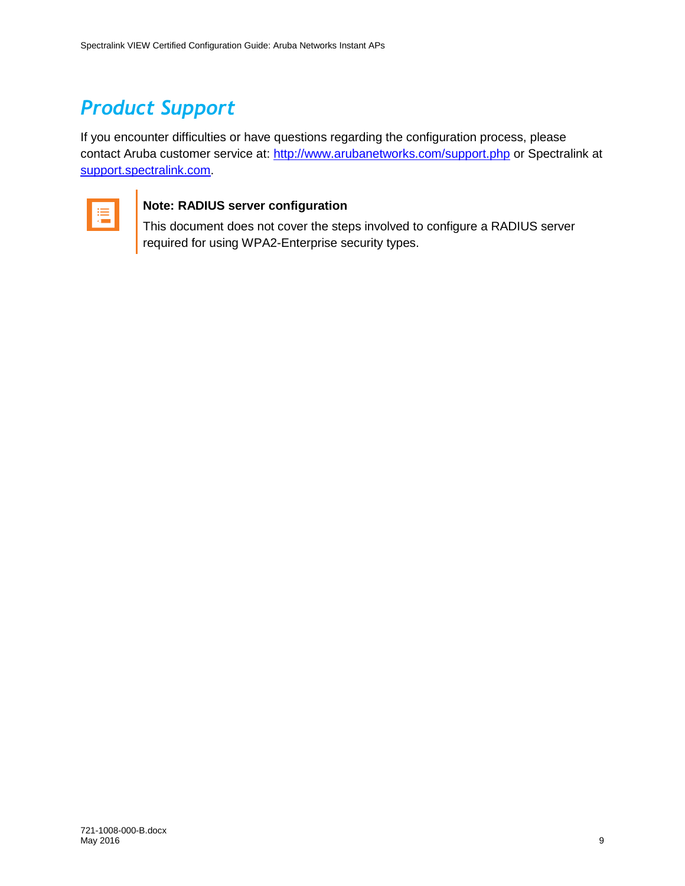## <span id="page-8-0"></span>*Product Support*

If you encounter difficulties or have questions regarding the configuration process, please contact Aruba customer service at: <http://www.arubanetworks.com/support.php> or Spectralink at [support.spectralink.com.](mailto:support.spectralink.com)



### **Note: RADIUS server configuration**

This document does not cover the steps involved to configure a RADIUS server required for using WPA2-Enterprise security types.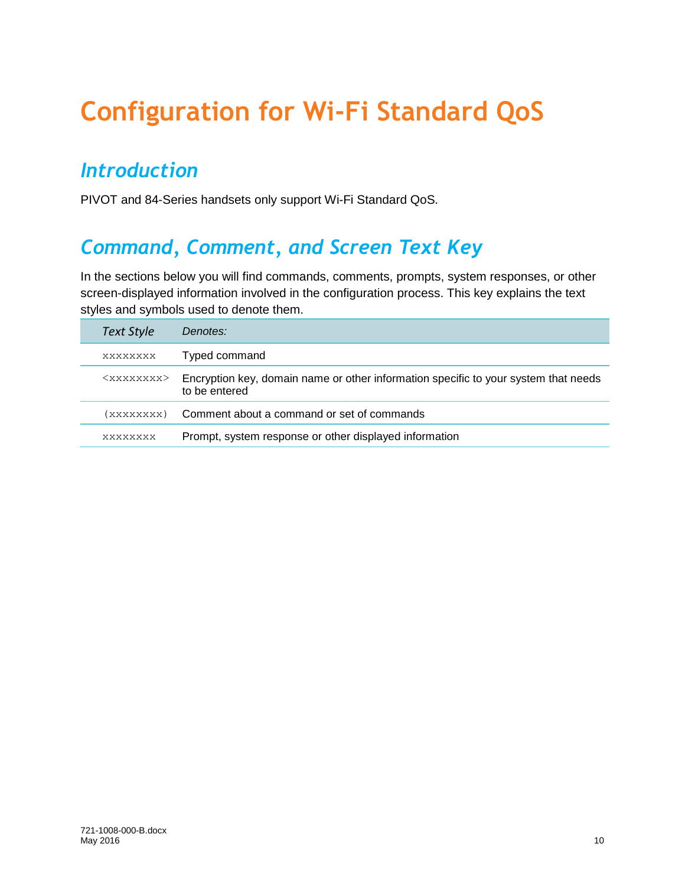# <span id="page-9-0"></span>**Configuration for Wi-Fi Standard QoS**

### <span id="page-9-1"></span>*Introduction*

<span id="page-9-2"></span>PIVOT and 84-Series handsets only support Wi-Fi Standard QoS.

## *Command, Comment, and Screen Text Key*

In the sections below you will find commands, comments, prompts, system responses, or other screen-displayed information involved in the configuration process. This key explains the text styles and symbols used to denote them.

| <b>Text Style</b>     | Denotes:                                                                                             |
|-----------------------|------------------------------------------------------------------------------------------------------|
| <b>XXXXXXXX</b>       | Typed command                                                                                        |
| <xxxxxxxx></xxxxxxxx> | Encryption key, domain name or other information specific to your system that needs<br>to be entered |
| (xxxxxxxx)            | Comment about a command or set of commands                                                           |
| xxxxxxxx              | Prompt, system response or other displayed information                                               |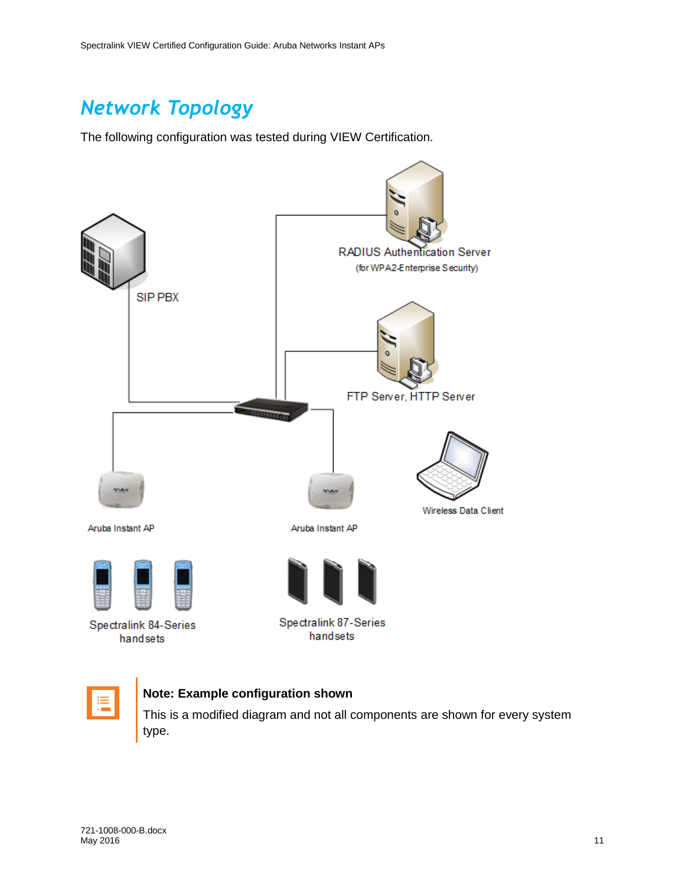## <span id="page-10-0"></span>*Network Topology*

The following configuration was tested during VIEW Certification.





### **Note: Example configuration shown**

This is a modified diagram and not all components are shown for every system type.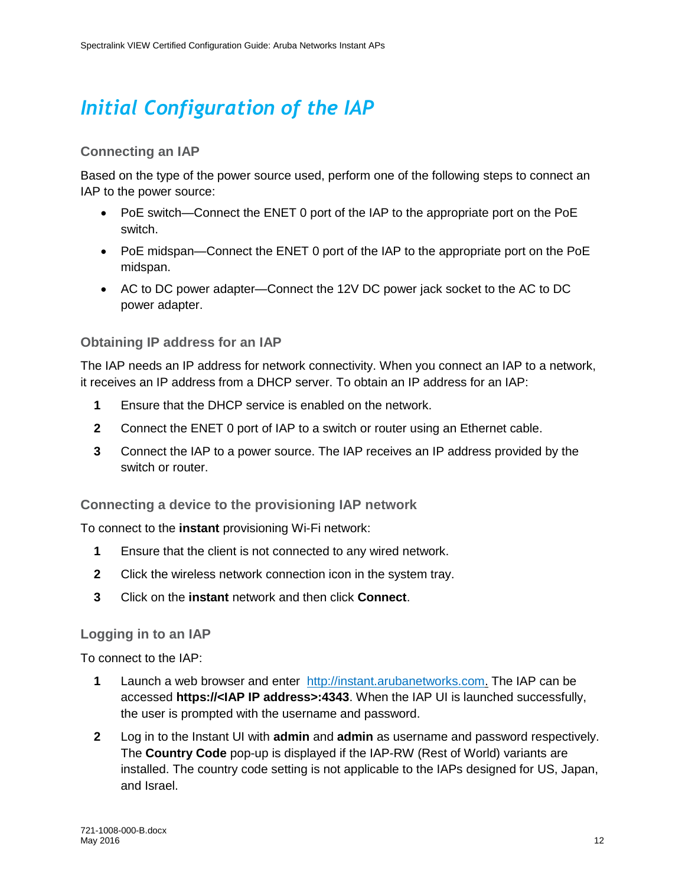## <span id="page-11-0"></span>*Initial Configuration of the IAP*

### <span id="page-11-1"></span>**Connecting an IAP**

Based on the type of the power source used, perform one of the following steps to connect an IAP to the power source:

- PoE switch—Connect the ENET 0 port of the IAP to the appropriate port on the PoE switch.
- PoE midspan—Connect the ENET 0 port of the IAP to the appropriate port on the PoE midspan.
- AC to DC power adapter—Connect the 12V DC power jack socket to the AC to DC power adapter.

### <span id="page-11-2"></span>**Obtaining IP address for an IAP**

The IAP needs an IP address for network connectivity. When you connect an IAP to a network, it receives an IP address from a DHCP server. To obtain an IP address for an IAP:

- **1** Ensure that the DHCP service is enabled on the network.
- **2** Connect the ENET 0 port of IAP to a switch or router using an Ethernet cable.
- **3** Connect the IAP to a power source. The IAP receives an IP address provided by the switch or router.

<span id="page-11-3"></span>**Connecting a device to the provisioning IAP network**

To connect to the **instant** provisioning Wi-Fi network:

- **1** Ensure that the client is not connected to any wired network.
- **2** Click the wireless network connection icon in the system tray.
- **3** Click on the **instant** network and then click **Connect**.

### <span id="page-11-4"></span>**Logging in to an IAP**

To connect to the IAP:

- **1** Launch a web browser and enter [http://instant.arubanetworks.com.](http://instant.arubanetworks.com/) The IAP can be accessed **https://<IAP IP address>:4343**. When the IAP UI is launched successfully, the user is prompted with the username and password.
- **2** Log in to the Instant UI with **admin** and **admin** as username and password respectively. The **Country Code** pop-up is displayed if the IAP-RW (Rest of World) variants are installed. The country code setting is not applicable to the IAPs designed for US, Japan, and Israel.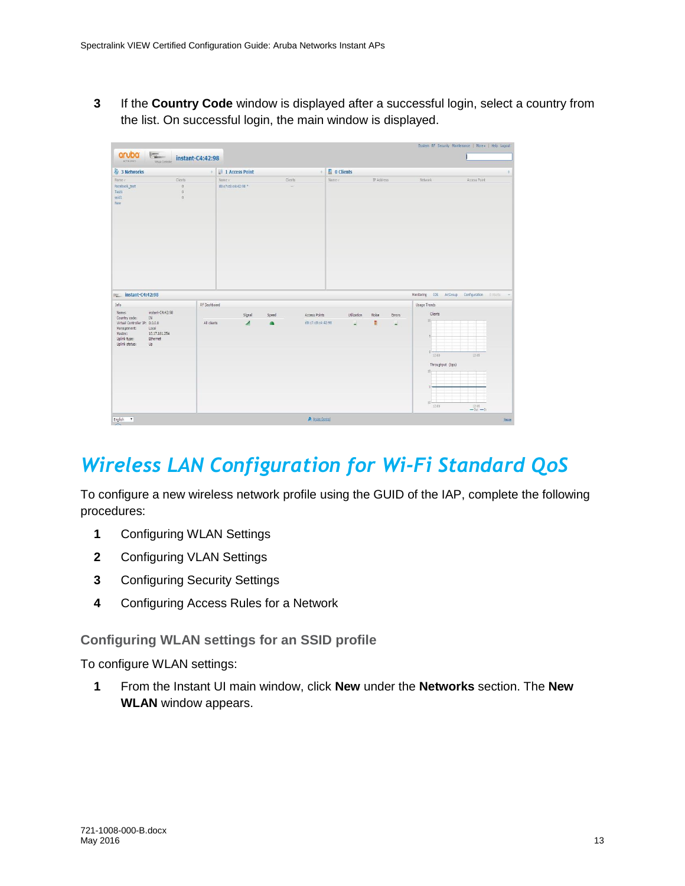**3** If the **Country Code** window is displayed after a successful login, select a country from the list. On successful login, the main window is displayed.

|                                                                                                                                                                                             |                  |                               |                          |                                    |                                                           | System RF Security Maintenance   More -   Help Logout                                |                                                             |
|---------------------------------------------------------------------------------------------------------------------------------------------------------------------------------------------|------------------|-------------------------------|--------------------------|------------------------------------|-----------------------------------------------------------|--------------------------------------------------------------------------------------|-------------------------------------------------------------|
| oruba<br>$\overline{m}$<br><b>Vital Circledes</b><br><b>KETWORKS</b>                                                                                                                        | instant-C4:42:98 |                               |                          |                                    |                                                           |                                                                                      |                                                             |
| 3 Networks                                                                                                                                                                                  | ÷                | 1 Access Point                |                          | $\Box$ 0 Clients                   |                                                           |                                                                                      |                                                             |
| Name-<br>Clients<br>$\theta$<br>Facebook_test<br>Test1<br>$\theta$<br>ssid1<br>$\theta$<br>New                                                                                              |                  | Name -<br>d8:c7:c8:c4:42:98 * | <i>Clients</i><br>$\sim$ | $Name-$                            | IP Address                                                | Network                                                                              | Access Point                                                |
| instant-C4:42:98<br>$\approx$                                                                                                                                                               |                  |                               |                          |                                    |                                                           | Monitoring IDS                                                                       | AirGroup Configuration 0 Alerts<br>$\overline{\phantom{a}}$ |
| Info                                                                                                                                                                                        | RF Dashboard     |                               |                          |                                    |                                                           | <b>Usage Trends</b>                                                                  |                                                             |
| instant-C4:42:98<br>Name:<br>Country code:<br>IN<br>Virtual Controller IP: 0.0.0.0<br>Local<br>Management:<br>10.17.161.254<br>Master:<br>Uplink type:<br>Ethernet<br>Uplink status:<br>Up. | All clients      | Signal<br>all.                | Speed<br>Ä               | Access Points<br>dB:c7:c8:c4:42:98 | Utilization<br>Noise<br>Errors<br>E<br>ц<br>$\frac{1}{2}$ | <b>Clients</b><br>10 <sub>2</sub><br>12:00<br>Throughput (bps)<br>10:<br>10<br>12:00 | 12:05<br>12:05<br>$-0x - h$                                 |
| English V                                                                                                                                                                                   |                  |                               |                          | A Aniba Central                    |                                                           |                                                                                      | Pacce                                                       |

## <span id="page-12-0"></span>*Wireless LAN Configuration for Wi-Fi Standard QoS*

To configure a new wireless network profile using the GUID of the IAP, complete the following procedures:

- **1** Configuring WLAN Settings
- **2** Configuring VLAN Settings
- **3** Configuring Security Settings
- **4** Configuring Access Rules for a Network

<span id="page-12-1"></span>**Configuring WLAN settings for an SSID profile**

To configure WLAN settings:

**1** From the Instant UI main window, click **New** under the **Networks** section. The **New WLAN** window appears.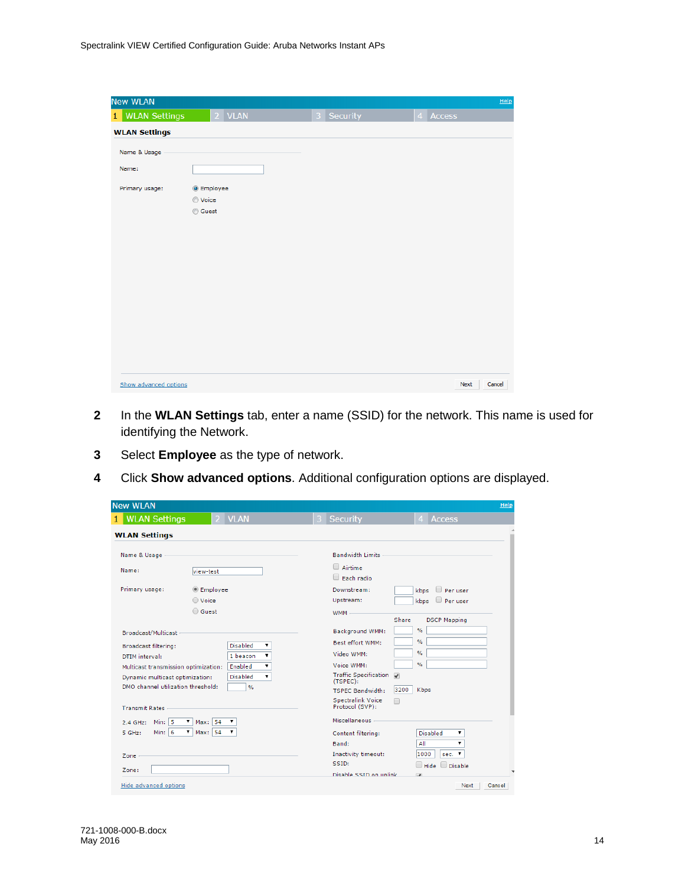| <b>New WLAN</b>           |                                              |        |   |          |                |        | Help   |
|---------------------------|----------------------------------------------|--------|---|----------|----------------|--------|--------|
| <b>WLAN Settings</b><br>1 |                                              | 2 VLAN | 3 | Security | $\overline{4}$ | Access |        |
| <b>WLAN Settings</b>      |                                              |        |   |          |                |        |        |
| Name & Usage              |                                              |        |   |          |                |        |        |
| Name:                     |                                              |        |   |          |                |        |        |
| Primary usage:            | <b>O</b> Employee<br>◎ Voice<br><b>Guest</b> |        |   |          |                |        |        |
|                           |                                              |        |   |          |                |        |        |
| Show advanced options     |                                              |        |   |          |                | Next   | Cancel |

- **2** In the **WLAN Settings** tab, enter a name (SSID) for the network. This name is used for identifying the Network.
- **3** Select **Employee** as the type of network.
- **4** Click **Show advanced options**. Additional configuration options are displayed.

| <b>WLAN Settings</b>                                                  | <b>VLAN</b>                           | <b>Security</b>                                                        |                          | <b>Access</b><br>4                   |
|-----------------------------------------------------------------------|---------------------------------------|------------------------------------------------------------------------|--------------------------|--------------------------------------|
| <b>WLAN Settings</b>                                                  |                                       |                                                                        |                          |                                      |
| Name & Usage                                                          |                                       | <b>Bandwidth Limits</b>                                                |                          |                                      |
| Name:                                                                 | view-test                             | Airtime<br>Fach radio                                                  |                          |                                      |
| Primary usage:                                                        | <b>Employee</b>                       | Downstream:                                                            |                          | kbps<br>Per user                     |
|                                                                       | ◯ Voice<br>Guest                      | Upstream:<br><b>WMM</b>                                                |                          | kbps<br>$\Box$ Per user              |
| Broadcast/Multicast                                                   |                                       | Background WMM:                                                        | Share                    | <b>DSCP Mapping</b><br>$\frac{9}{6}$ |
| Broadcast filtering:<br>DTIM interval:                                | <b>Disabled</b><br>▼<br>1 beacon<br>▼ | Best effort WMM:<br>Video WMM:                                         |                          | $\frac{9}{6}$<br>$\frac{9}{6}$       |
| Multicast transmission optimization:                                  | Enabled<br>۷.                         | Voice WMM:                                                             |                          | $\frac{1}{2}$                        |
| Dynamic multicast optimization:<br>DMO channel utilization threshold: | <b>Disabled</b><br>▼<br>$\frac{9}{6}$ | <b>Traffic Specification</b><br>(TSPEC):                               | $\overline{\mathcal{L}}$ |                                      |
| <b>Transmit Rates</b>                                                 |                                       | <b>TSPEC Bandwidth:</b><br><b>Spectralink Voice</b><br>Protocol (SVP): | 3200<br>∩                | Kbps                                 |
| Min: $5$<br>2.4 GHz:                                                  | $\mathbf{v}$<br>Max: 54<br>▼          | Miscellaneous                                                          |                          |                                      |
| Min: $6$<br>5 GHz:                                                    | Max: 54<br>▾<br>▼                     | Content filtering:                                                     |                          | <b>Disabled</b><br>▼                 |
|                                                                       |                                       | Band:                                                                  |                          | All<br>7<br>1000<br>sec. V           |
| Zone                                                                  |                                       | Inactivity timeout:<br>SSID:                                           |                          | $\Box$ Hide $\Box$ Disable           |
| Zone:                                                                 |                                       | Disable SSID on unlink                                                 |                          | $\overline{a}$                       |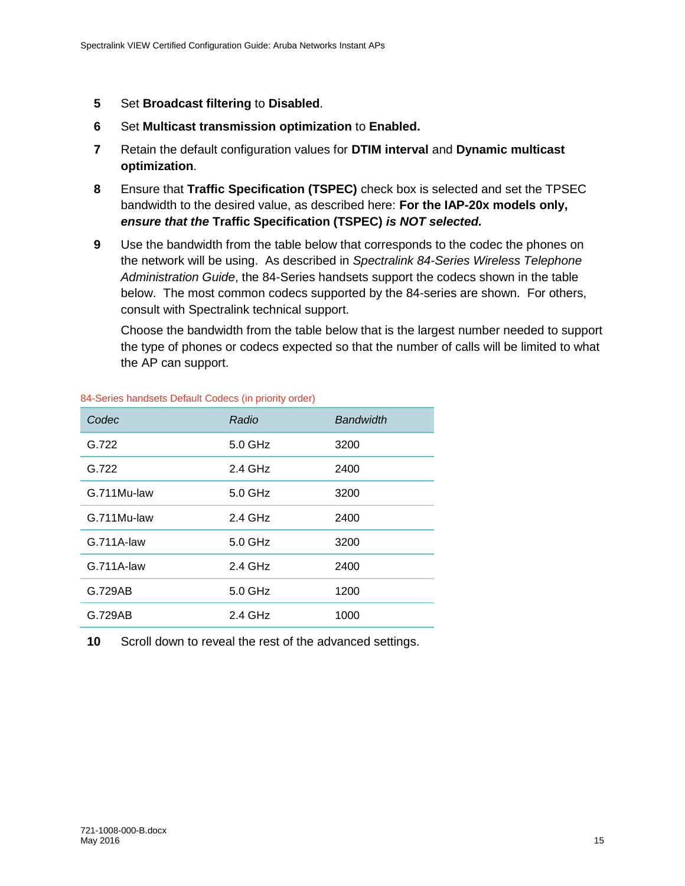- **5** Set **Broadcast filtering** to **Disabled**.
- **6** Set **Multicast transmission optimization** to **Enabled.**
- **7** Retain the default configuration values for **DTIM interval** and **Dynamic multicast optimization**.
- **8** Ensure that **Traffic Specification (TSPEC)** check box is selected and set the TPSEC bandwidth to the desired value, as described here: **For the IAP-20x models only,**  *ensure that the* **Traffic Specification (TSPEC)** *is NOT selected.*
- **9** Use the bandwidth from the table below that corresponds to the codec the phones on the network will be using. As described in *Spectralink 84-Series Wireless Telephone Administration Guide*, the 84-Series handsets support the codecs shown in the table below. The most common codecs supported by the 84-series are shown. For others, consult with Spectralink technical support.

Choose the bandwidth from the table below that is the largest number needed to support the type of phones or codecs expected so that the number of calls will be limited to what the AP can support.

| Codec         | Radio     | <b>Bandwidth</b> |
|---------------|-----------|------------------|
| G.722         | $5.0$ GHz | 3200             |
| G.722         | $2.4$ GHz | 2400             |
| G.711Mu-law   | $5.0$ GHz | 3200             |
| G.711Mu-law   | $2.4$ GHz | 2400             |
| $G.711A$ -law | $5.0$ GHz | 3200             |
| $G.711A$ -law | $2.4$ GHz | 2400             |
| G.729AB       | $5.0$ GHz | 1200             |
| G.729AB       | $2.4$ GHz | 1000             |
|               |           |                  |

#### 84-Series handsets Default Codecs (in priority order)

**10** Scroll down to reveal the rest of the advanced settings.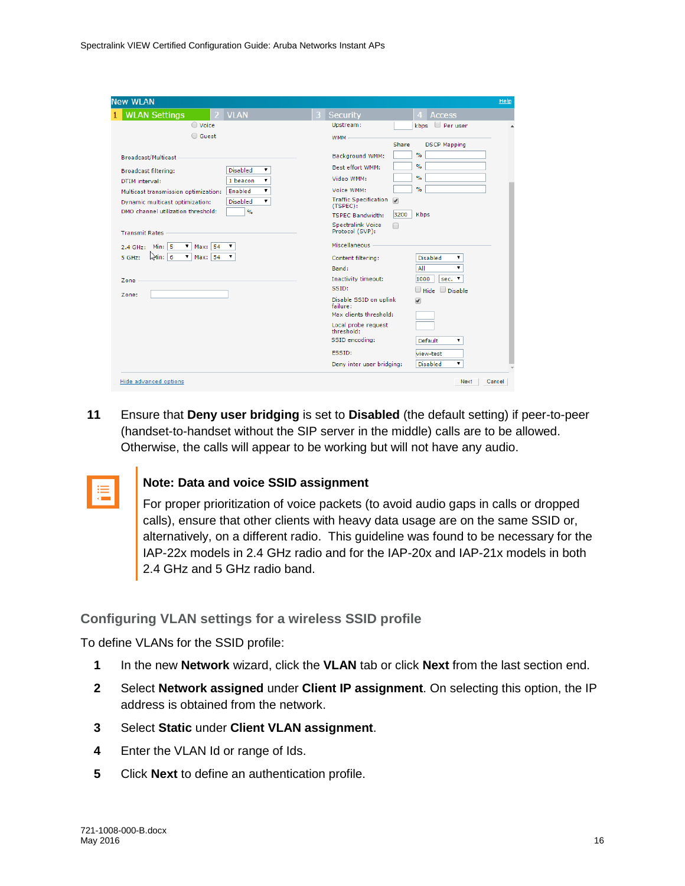| <b>New WLAN</b>                                                          |                                                                      |
|--------------------------------------------------------------------------|----------------------------------------------------------------------|
| <b>VLAN</b><br><b>WLAN Settings</b>                                      | <b>Security</b><br><b>Access</b>                                     |
| ◯ Voice                                                                  | Upstream:<br>$\Box$ Per user<br>kbps                                 |
| Guest                                                                    | WMM -<br>Share<br><b>DSCP Mapping</b>                                |
| <b>Broadcast/Multicast</b>                                               | $\frac{9}{6}$<br>Background WMM:                                     |
| <b>Disabled</b><br>۷.<br><b>Broadcast filtering:</b>                     | $\frac{9}{6}$<br><b>Best effort WMM:</b>                             |
| 7<br>1 beacon<br>DTIM interval:                                          | $\frac{1}{2}$<br>Video WMM:                                          |
| 7<br>Enabled<br>Multicast transmission optimization:                     | $\frac{9}{6}$<br>Voice WMM:                                          |
| $\pmb{\mathrm{v}}$<br><b>Disabled</b><br>Dynamic multicast optimization: | <b>Traffic Specification</b><br>$\overline{\mathcal{L}}$<br>(TSPEC): |
| DMO channel utilization threshold:<br>$\frac{9}{6}$                      | <b>Kbps</b><br>3200<br><b>TSPEC Bandwidth:</b>                       |
| <b>Transmit Rates</b>                                                    | <b>Spectralink Voice</b><br>∩<br>Protocol (SVP):                     |
| Min: $5$<br>Max: 54<br>▾<br>▼<br>2.4 GHz:                                | Miscellaneous                                                        |
| $\lambda$ lin: 6<br>▼∣<br>Max: 54<br>▼<br>5 GHz:                         | <b>Disabled</b><br>Content filtering:<br>۷                           |
|                                                                          | Band:<br>All                                                         |
| Zone                                                                     | Inactivity timeout:<br>1000<br>sec. V                                |
| Zone:                                                                    | SSID:<br>$\square$ Hide<br>D Disable                                 |
|                                                                          | Disable SSID on uplink<br>$\overline{\mathcal{F}}$<br>failure:       |
|                                                                          | Max clients threshold:                                               |
|                                                                          | Local probe request<br>threshold:                                    |
|                                                                          | SSID encoding:<br>Default<br>▼                                       |
|                                                                          | ESSID:<br>view-test                                                  |
|                                                                          | <b>Disabled</b><br>۷.<br>Deny inter user bridging:                   |

**11** Ensure that **Deny user bridging** is set to **Disabled** (the default setting) if peer-to-peer (handset-to-handset without the SIP server in the middle) calls are to be allowed. Otherwise, the calls will appear to be working but will not have any audio.

| $\mathcal{L}^{\text{max}}_{\text{max}}$ and $\mathcal{L}^{\text{max}}_{\text{max}}$ and $\mathcal{L}^{\text{max}}_{\text{max}}$ and $\mathcal{L}^{\text{max}}_{\text{max}}$ |
|-----------------------------------------------------------------------------------------------------------------------------------------------------------------------------|
| the control of the control of the con-                                                                                                                                      |
|                                                                                                                                                                             |
|                                                                                                                                                                             |
|                                                                                                                                                                             |
|                                                                                                                                                                             |
| and the state of the state of the state of the state of the state of the state of the state of the state of th                                                              |

#### **Note: Data and voice SSID assignment**

For proper prioritization of voice packets (to avoid audio gaps in calls or dropped calls), ensure that other clients with heavy data usage are on the same SSID or, alternatively, on a different radio. This guideline was found to be necessary for the IAP-22x models in 2.4 GHz radio and for the IAP-20x and IAP-21x models in both 2.4 GHz and 5 GHz radio band.

#### <span id="page-15-0"></span>**Configuring VLAN settings for a wireless SSID profile**

To define VLANs for the SSID profile:

- **1** In the new **Network** wizard, click the **VLAN** tab or click **Next** from the last section end.
- **2** Select **Network assigned** under **Client IP assignment**. On selecting this option, the IP address is obtained from the network.
- **3** Select **Static** under **Client VLAN assignment**.
- **4** Enter the VLAN Id or range of Ids.
- **5** Click **Next** to define an authentication profile.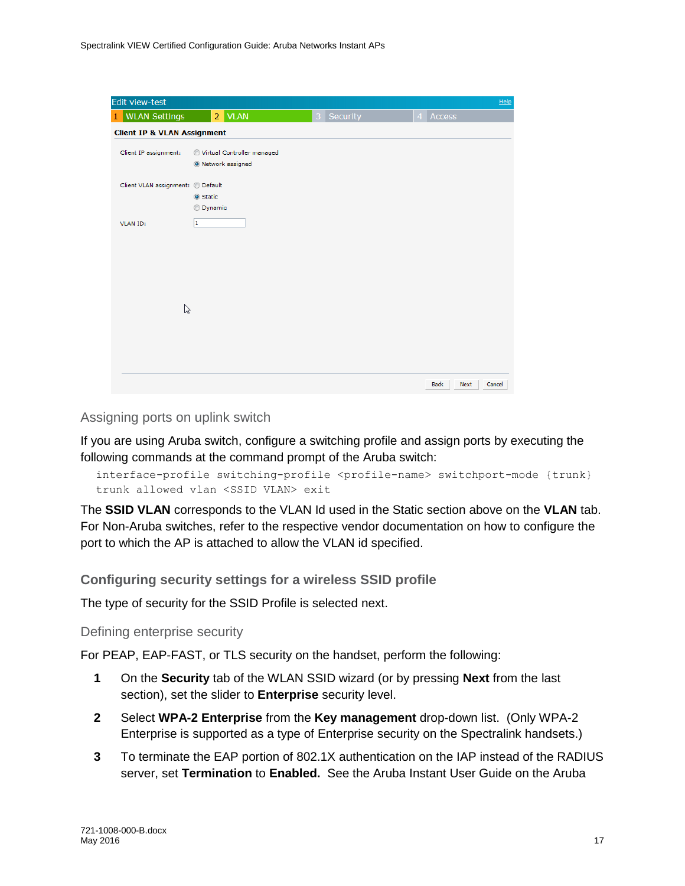| Edit view-test                         |                            |   |          |                |                     | Help   |
|----------------------------------------|----------------------------|---|----------|----------------|---------------------|--------|
| <b>WLAN Settings</b><br>$\mathbf{1}$   | 2 VLAN                     | 3 | Security | $\overline{4}$ | <b>Access</b>       |        |
| <b>Client IP &amp; VLAN Assignment</b> |                            |   |          |                |                     |        |
| Client IP assignment:                  | Virtual Controller managed |   |          |                |                     |        |
|                                        | O Network assigned         |   |          |                |                     |        |
| Client VLAN assignment: © Default      |                            |   |          |                |                     |        |
|                                        | Static                     |   |          |                |                     |        |
|                                        | <b>O</b> Dynamic           |   |          |                |                     |        |
| <b>VLAN ID:</b>                        | 1                          |   |          |                |                     |        |
|                                        |                            |   |          |                |                     |        |
|                                        |                            |   |          |                |                     |        |
|                                        |                            |   |          |                |                     |        |
|                                        |                            |   |          |                |                     |        |
|                                        |                            |   |          |                |                     |        |
| $\mathbb{Z}$                           |                            |   |          |                |                     |        |
|                                        |                            |   |          |                |                     |        |
|                                        |                            |   |          |                |                     |        |
|                                        |                            |   |          |                |                     |        |
|                                        |                            |   |          |                |                     |        |
|                                        |                            |   |          |                | <b>Back</b><br>Next | Cancel |

### Assigning ports on uplink switch

If you are using Aruba switch, configure a switching profile and assign ports by executing the following commands at the command prompt of the Aruba switch:

```
interface-profile switching-profile <profile-name> switchport-mode {trunk}
trunk allowed vlan <SSID VLAN> exit
```
The **SSID VLAN** corresponds to the VLAN Id used in the Static section above on the **VLAN** tab. For Non-Aruba switches, refer to the respective vendor documentation on how to configure the port to which the AP is attached to allow the VLAN id specified.

### <span id="page-16-0"></span>**Configuring security settings for a wireless SSID profile**

The type of security for the SSID Profile is selected next.

Defining enterprise security

For PEAP, EAP-FAST, or TLS security on the handset, perform the following:

- **1** On the **Security** tab of the WLAN SSID wizard (or by pressing **Next** from the last section), set the slider to **Enterprise** security level.
- **2** Select **WPA-2 Enterprise** from the **Key management** drop-down list. (Only WPA-2 Enterprise is supported as a type of Enterprise security on the Spectralink handsets.)
- **3** To terminate the EAP portion of 802.1X authentication on the IAP instead of the RADIUS server, set **Termination** to **Enabled.** See the Aruba Instant User Guide on the Aruba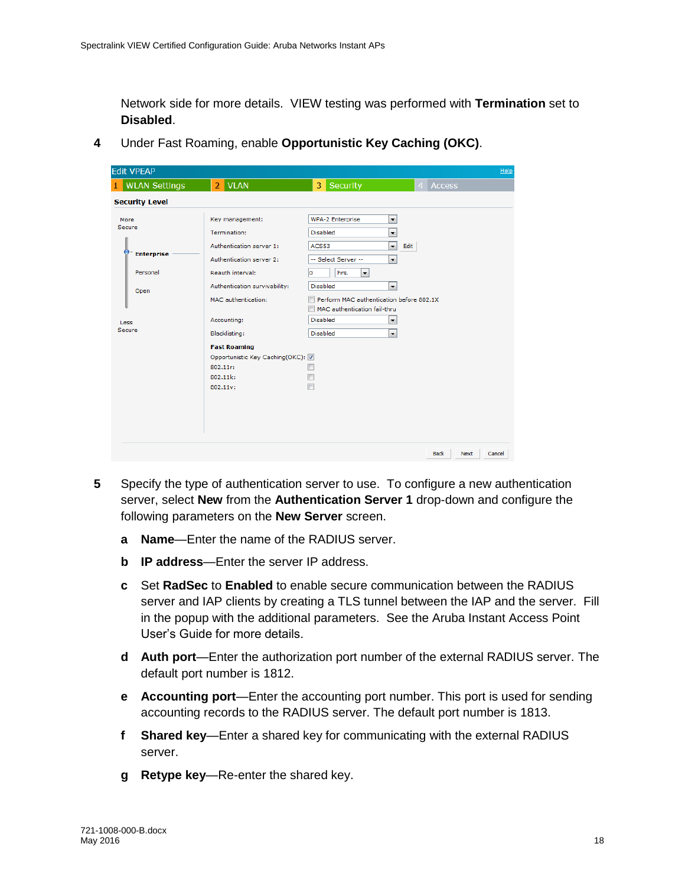Network side for more details. VIEW testing was performed with **Termination** set to **Disabled**.

|  |  | Under Fast Roaming, enable Opportunistic Key Caching (OKC). |  |
|--|--|-------------------------------------------------------------|--|
|  |  |                                                             |  |

| <b>Edit VPEAP</b>                    |                                                                                                 | Help                                                                                                                    |
|--------------------------------------|-------------------------------------------------------------------------------------------------|-------------------------------------------------------------------------------------------------------------------------|
| <b>WLAN Settings</b><br>$\mathbf{1}$ | 2 VLAN                                                                                          | Security<br>3<br><b>Access</b><br>4                                                                                     |
| <b>Security Level</b>                |                                                                                                 |                                                                                                                         |
| More<br>Secure                       | Key management:<br>Termination:                                                                 | <b>WPA-2 Enterprise</b><br>$\blacksquare$<br>$\overline{\phantom{0}}$<br><b>Disabled</b>                                |
| <b>Enterprise</b>                    | Authentication server 1:<br>Authentication server 2:                                            | $\blacksquare$<br>ACS53<br>Edit<br>$\blacktriangledown$<br>-- Select Server --                                          |
| Personal                             | Reauth interval:                                                                                | lo.<br>hrs.<br>$\blacktriangledown$                                                                                     |
| Open                                 | Authentication survivability:<br>MAC authentication:                                            | $\overline{\phantom{a}}$<br><b>Disabled</b><br>Perform MAC authentication before 802.1X<br>MAC authentication fail-thru |
| Less<br>Secure                       | Accounting:<br>Blacklisting:                                                                    | <b>Disabled</b><br>$\blacktriangledown$<br><b>Disabled</b><br>$\blacktriangledown$                                      |
|                                      | <b>Fast Roaming</b><br>Opportunistic Key Caching(OKC): V<br>$802.11r$ :<br>802.11k:<br>802.11v: |                                                                                                                         |
|                                      |                                                                                                 | <b>Back</b><br>Next<br>Cancel                                                                                           |

- **5** Specify the type of authentication server to use. To configure a new authentication server, select **New** from the **Authentication Server 1** drop-down and configure the following parameters on the **New Server** screen.
	- **a Name**—Enter the name of the RADIUS server.
	- **b IP address**—Enter the server IP address.
	- **c** Set **RadSec** to **Enabled** to enable secure communication between the RADIUS server and IAP clients by creating a TLS tunnel between the IAP and the server. Fill in the popup with the additional parameters. See the Aruba Instant Access Point User's Guide for more details.
	- **d Auth port**—Enter the authorization port number of the external RADIUS server. The default port number is 1812.
	- **e Accounting port**—Enter the accounting port number. This port is used for sending accounting records to the RADIUS server. The default port number is 1813.
	- **f Shared key**—Enter a shared key for communicating with the external RADIUS server.
	- **g Retype key**—Re-enter the shared key.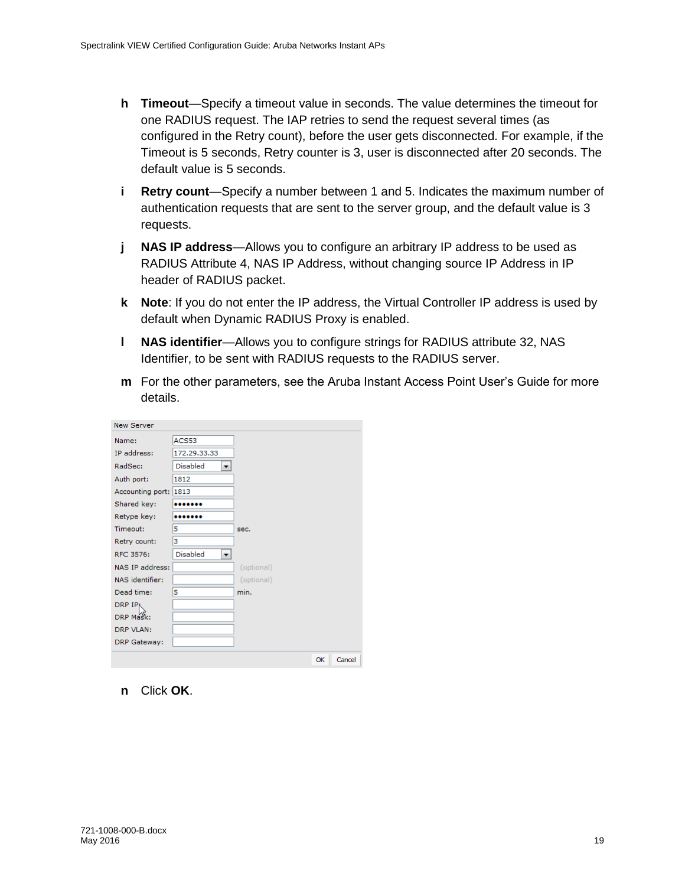- **h Timeout**—Specify a timeout value in seconds. The value determines the timeout for one RADIUS request. The IAP retries to send the request several times (as configured in the Retry count), before the user gets disconnected. For example, if the Timeout is 5 seconds, Retry counter is 3, user is disconnected after 20 seconds. The default value is 5 seconds.
- **i Retry count**—Specify a number between 1 and 5. Indicates the maximum number of authentication requests that are sent to the server group, and the default value is 3 requests.
- **j NAS IP address**—Allows you to configure an arbitrary IP address to be used as RADIUS Attribute 4, NAS IP Address, without changing source IP Address in IP header of RADIUS packet.
- **k Note**: If you do not enter the IP address, the Virtual Controller IP address is used by default when Dynamic RADIUS Proxy is enabled.
- **l NAS identifier**—Allows you to configure strings for RADIUS attribute 32, NAS Identifier, to be sent with RADIUS requests to the RADIUS server.
- **m** For the other parameters, see the Aruba Instant Access Point User's Guide for more details.

| <b>New Server</b>   |                      |            |    |        |
|---------------------|----------------------|------------|----|--------|
| Name:               | ACS53                |            |    |        |
| IP address:         | 172.29.33.33         |            |    |        |
| RadSec:             | <b>Disabled</b><br>▼ |            |    |        |
| Auth port:          | 1812                 |            |    |        |
| Accounting port:    | 1813                 |            |    |        |
| Shared key:         |                      |            |    |        |
| Retype key:         |                      |            |    |        |
| Timeout:            | 5                    | sec.       |    |        |
| Retry count:        | 3                    |            |    |        |
| RFC 3576:           | <b>Disabled</b><br>▼ |            |    |        |
| NAS IP address:     |                      | (optional) |    |        |
| NAS identifier:     |                      | (optional) |    |        |
| Dead time:          | 5                    | min.       |    |        |
| DRP IP              |                      |            |    |        |
| DRP Mask:           |                      |            |    |        |
| <b>DRP VLAN:</b>    |                      |            |    |        |
| <b>DRP Gateway:</b> |                      |            |    |        |
|                     |                      |            | OK | Cancel |

**n** Click **OK**.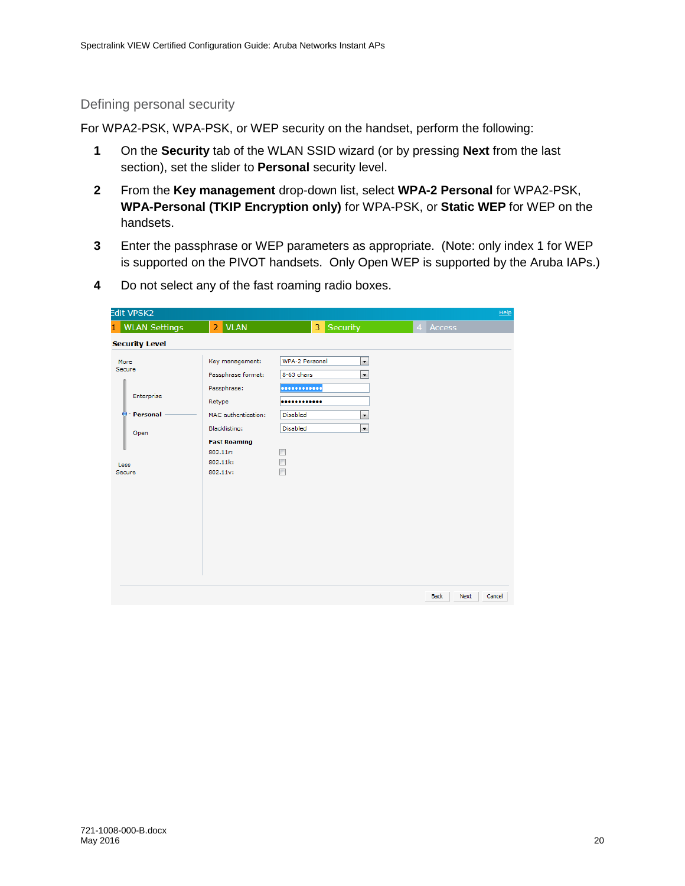### Defining personal security

For WPA2-PSK, WPA-PSK, or WEP security on the handset, perform the following:

- **1** On the **Security** tab of the WLAN SSID wizard (or by pressing **Next** from the last section), set the slider to **Personal** security level.
- **2** From the **Key management** drop-down list, select **WPA-2 Personal** for WPA2-PSK, **WPA-Personal (TKIP Encryption only)** for WPA-PSK, or **Static WEP** for WEP on the handsets.
- **3** Enter the passphrase or WEP parameters as appropriate. (Note: only index 1 for WEP is supported on the PIVOT handsets. Only Open WEP is supported by the Aruba IAPs.)
- **4** Do not select any of the fast roaming radio boxes.

| Edit VPSK2            |                                                      |                                                                                       | Help                          |
|-----------------------|------------------------------------------------------|---------------------------------------------------------------------------------------|-------------------------------|
| 1 WLAN Settings       | 2 VLAN                                               | Security<br>3                                                                         | Access<br>$\overline{4}$      |
| <b>Security Level</b> |                                                      |                                                                                       |                               |
| More<br>Secure        | Key management:<br>Passphrase format:<br>Passphrase: | $\blacksquare$<br><b>WPA-2 Personal</b><br>$\overline{\phantom{a}}$<br>8-63 chars<br> |                               |
| Enterprise            | Retype                                               |                                                                                       |                               |
| Personal              | MAC authentication:                                  | Disabled<br>$\overline{\phantom{a}}$                                                  |                               |
| Open                  | Blacklisting:                                        | $\overline{\phantom{0}}$<br>Disabled                                                  |                               |
|                       | <b>Fast Roaming</b>                                  |                                                                                       |                               |
| Less<br>Secure        | 802.11r:<br>802.11k:<br>802.11v:                     | $\Box$<br>$\begin{array}{c} \hline \end{array}$<br>$\blacksquare$                     |                               |
|                       |                                                      |                                                                                       | <b>Back</b><br>Next<br>Cancel |
|                       |                                                      |                                                                                       |                               |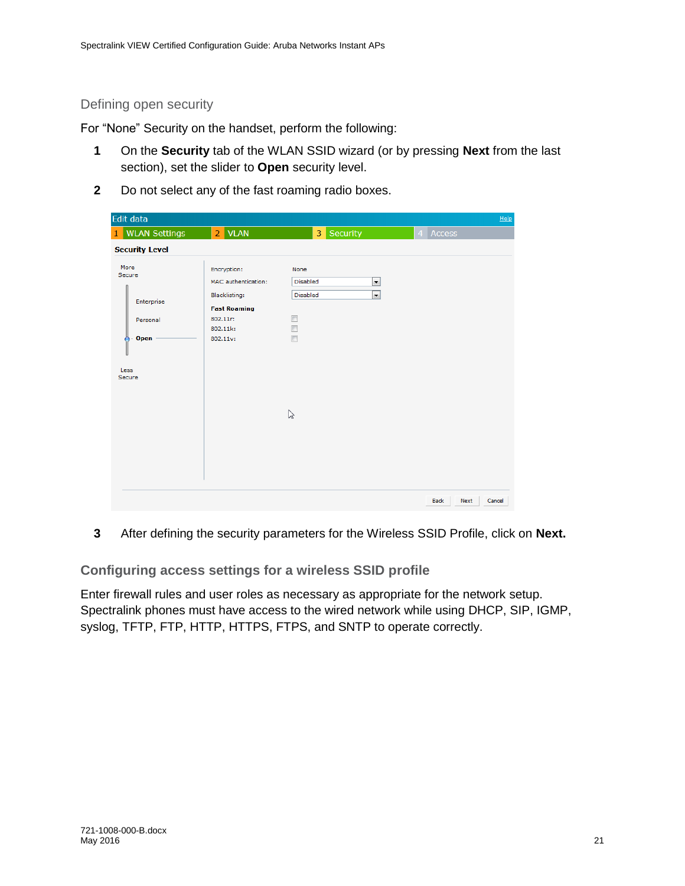### Defining open security

For "None" Security on the handset, perform the following:

- **1** On the **Security** tab of the WLAN SSID wizard (or by pressing **Next** from the last section), set the slider to **Open** security level.
- **2** Do not select any of the fast roaming radio boxes.

| Edit data                  |                                      |                            |                          |                     | Help   |
|----------------------------|--------------------------------------|----------------------------|--------------------------|---------------------|--------|
| <b>WLAN Settings</b><br>1. | 2 VLAN                               | Security<br>3 <sup>1</sup> |                          | Access<br>4         |        |
| <b>Security Level</b>      |                                      |                            |                          |                     |        |
| More<br>Secure             | Encryption:<br>MAC authentication:   | None<br>Disabled           | $\blacksquare$           |                     |        |
| Enterprise                 | Blacklisting:<br><b>Fast Roaming</b> | Disabled                   | $\overline{\phantom{0}}$ |                     |        |
| Personal                   | 802.11r:<br>802.11k:                 | $\Box$<br>$\Box$           |                          |                     |        |
| Open<br>L                  | 802.11v:                             | $\Box$                     |                          |                     |        |
| Less<br>Secure             |                                      | $\mathbb{Z}$               |                          |                     |        |
|                            |                                      |                            |                          | Next<br><b>Back</b> | Cancel |

**3** After defining the security parameters for the Wireless SSID Profile, click on **Next.**

<span id="page-20-0"></span>**Configuring access settings for a wireless SSID profile**

<span id="page-20-1"></span>Enter firewall rules and user roles as necessary as appropriate for the network setup. Spectralink phones must have access to the wired network while using DHCP, SIP, IGMP, syslog, TFTP, FTP, HTTP, HTTPS, FTPS, and SNTP to operate correctly.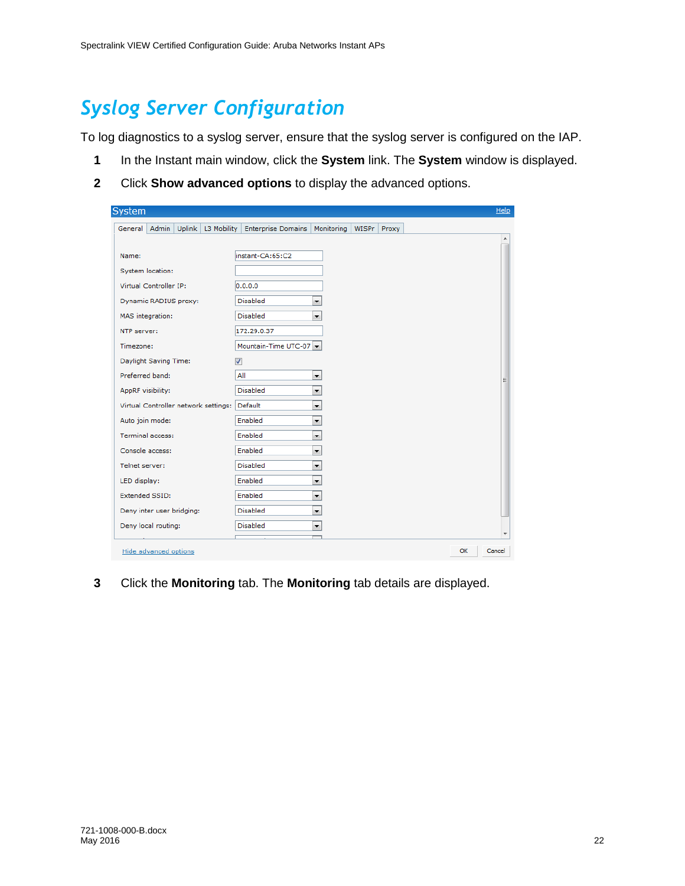## *Syslog Server Configuration*

To log diagnostics to a syslog server, ensure that the syslog server is configured on the IAP.

- **1** In the Instant main window, click the **System** link. The **System** window is displayed.
- **2** Click **Show advanced options** to display the advanced options.

|                                      | Uplink   L3 Mobility   Enterprise Domains |                          |       |       |  |
|--------------------------------------|-------------------------------------------|--------------------------|-------|-------|--|
| General Admin                        |                                           | Monitoring               | WISPr | Proxy |  |
|                                      |                                           |                          |       |       |  |
| Name:                                | instant-CA:65:C2                          |                          |       |       |  |
| System location:                     |                                           |                          |       |       |  |
| Virtual Controller IP:               | 0.0.0.0                                   |                          |       |       |  |
| Dynamic RADIUS proxy:                | <b>Disabled</b>                           | $\blacktriangledown$     |       |       |  |
| MAS integration:                     | <b>Disabled</b>                           | $\overline{\phantom{a}}$ |       |       |  |
| NTP server:                          | 172.29.0.37                               |                          |       |       |  |
| Timezone:                            | Mountain-Time UTC-07                      |                          |       |       |  |
|                                      |                                           |                          |       |       |  |
| Daylight Saving Time:                | ⊽                                         |                          |       |       |  |
| Preferred band:                      | All                                       | $\blacktriangledown$     |       |       |  |
| AppRF visibility:                    | <b>Disabled</b>                           | $\overline{\phantom{a}}$ |       |       |  |
| Virtual Controller network settings: | Default                                   | $\blacktriangledown$     |       |       |  |
| Auto join mode:                      | Enabled                                   | $\blacksquare$           |       |       |  |
| <b>Terminal access:</b>              | Enabled                                   | $\overline{\phantom{a}}$ |       |       |  |
| Console access:                      | Enabled                                   | $\blacktriangledown$     |       |       |  |
| Telnet server:                       | <b>Disabled</b>                           | $\blacktriangledown$     |       |       |  |
| LED display:                         | Enabled                                   | $\overline{\phantom{a}}$ |       |       |  |
| Extended SSID:                       | Enabled                                   | $\overline{\phantom{a}}$ |       |       |  |
| Deny inter user bridging:            | Disabled                                  | $\blacktriangledown$     |       |       |  |
| Deny local routing:                  | <b>Disabled</b>                           | $\blacktriangledown$     |       |       |  |
|                                      |                                           |                          |       |       |  |

**3** Click the **Monitoring** tab. The **Monitoring** tab details are displayed.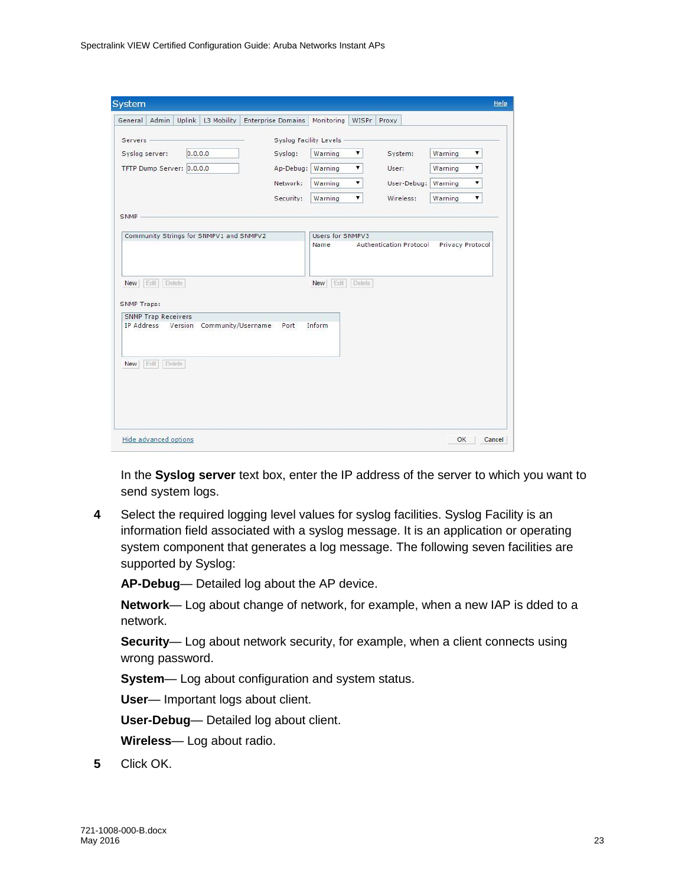|                                         | <b>System</b>              |         |                            |                           |                               |               |                         |                  | Help |
|-----------------------------------------|----------------------------|---------|----------------------------|---------------------------|-------------------------------|---------------|-------------------------|------------------|------|
| General                                 | Admin                      | Uplink  | L3 Mobility                | <b>Enterprise Domains</b> | Monitoring                    | WISPr         | Proxy                   |                  |      |
| Servers                                 |                            |         |                            |                           | <b>Syslog Facility Levels</b> |               |                         |                  |      |
|                                         | Syslog server:             | 0.0.0.0 |                            | Syslog:                   | Warning                       | 7             | System:                 | Warning<br>۳     |      |
|                                         | TFTP Dump Server: 0.0.0.0  |         |                            | Ap-Debug:                 | Warning                       | ۷             | User:                   | Warning<br>۷     |      |
|                                         |                            |         |                            | Network:                  | Warning                       | ۷             | User-Debug:             | Warning<br>۷     |      |
|                                         |                            |         |                            | Security:                 | Warning                       | ۷.            | Wireless:               | ۷.<br>Warning    |      |
| <b>SNMP</b>                             |                            |         |                            |                           |                               |               |                         |                  |      |
|                                         |                            |         |                            |                           | Name                          |               | Authentication Protocol | Privacy Protocol |      |
|                                         | Edit<br>Delete             |         |                            |                           | Edit<br>New                   | <b>Delete</b> |                         |                  |      |
| New<br><b>SNMP Traps:</b><br>IP Address | <b>SNMP Trap Receivers</b> |         | Version Community/Username | Port                      | Inform                        |               |                         |                  |      |
| New                                     | Edit<br>Delete             |         |                            |                           |                               |               |                         |                  |      |

In the **Syslog server** text box, enter the IP address of the server to which you want to send system logs.

**4** Select the required logging level values for syslog facilities. Syslog Facility is an information field associated with a syslog message. It is an application or operating system component that generates a log message. The following seven facilities are supported by Syslog:

**AP-Debug**— Detailed log about the AP device.

**Network**— Log about change of network, for example, when a new IAP is dded to a network.

**Security**— Log about network security, for example, when a client connects using wrong password.

**System**— Log about configuration and system status.

**User**— Important logs about client.

**User-Debug**— Detailed log about client.

**Wireless**— Log about radio.

**5** Click OK.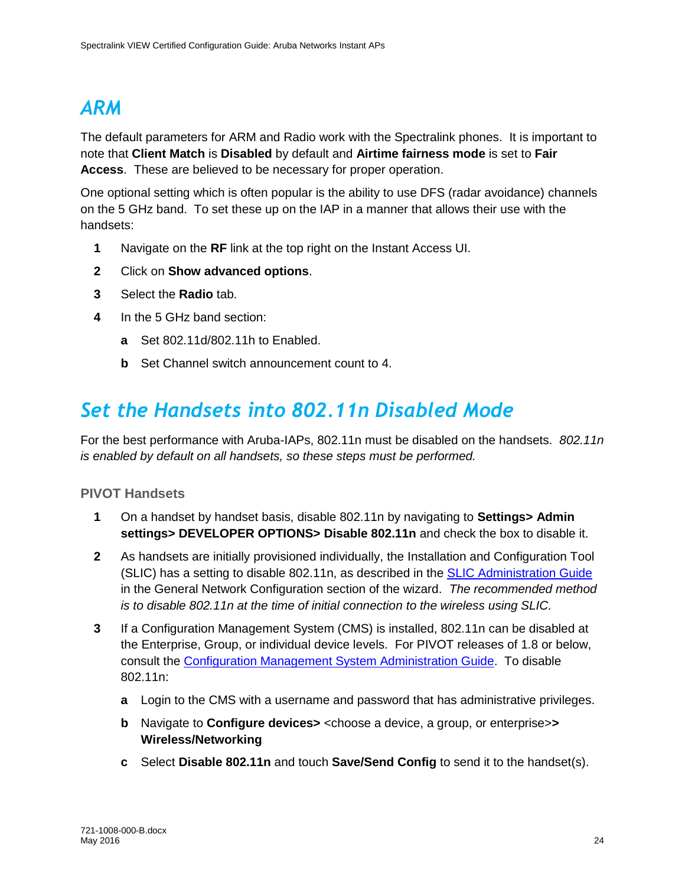## <span id="page-23-0"></span>*ARM*

The default parameters for ARM and Radio work with the Spectralink phones. It is important to note that **Client Match** is **Disabled** by default and **Airtime fairness mode** is set to **Fair Access**. These are believed to be necessary for proper operation.

One optional setting which is often popular is the ability to use DFS (radar avoidance) channels on the 5 GHz band. To set these up on the IAP in a manner that allows their use with the handsets:

- **1** Navigate on the **RF** link at the top right on the Instant Access UI.
- **2** Click on **Show advanced options**.
- **3** Select the **Radio** tab.
- **4** In the 5 GHz band section:
	- **a** Set 802.11d/802.11h to Enabled.
	- **b** Set Channel switch announcement count to 4.

### <span id="page-23-1"></span>*Set the Handsets into 802.11n Disabled Mode*

For the best performance with Aruba-IAPs, 802.11n must be disabled on the handsets. *802.11n is enabled by default on all handsets, so these steps must be performed.*

### <span id="page-23-2"></span>**PIVOT Handsets**

- **1** On a handset by handset basis, disable 802.11n by navigating to **Settings> Admin settings> DEVELOPER OPTIONS> Disable 802.11n** and check the box to disable it.
- **2** As handsets are initially provisioned individually, the Installation and Configuration Tool (SLIC) has a setting to disable 802.11n, as described in the **SLIC Administration Guide** in the General Network Configuration section of the wizard. *The recommended method is to disable 802.11n at the time of initial connection to the wireless using SLIC.*
- **3** If a Configuration Management System (CMS) is installed, 802.11n can be disabled at the Enterprise, Group, or individual device levels. For PIVOT releases of 1.8 or below, consult the [Configuration Management System Administration Guide.](http://support.spectralink.com/sites/default/files/resource_files/721-0011-000.pdf) To disable 802.11n:
	- **a** Login to the CMS with a username and password that has administrative privileges.
	- **b** Navigate to **Configure devices>** <choose a device, a group, or enterprise>**> Wireless/Networking**
	- **c** Select **Disable 802.11n** and touch **Save/Send Config** to send it to the handset(s).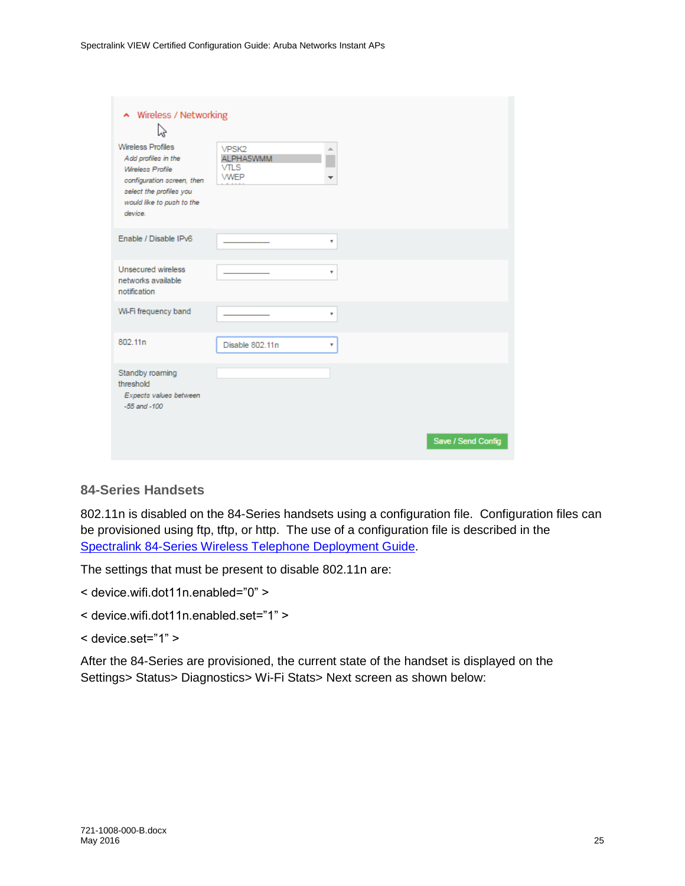| Nireless / Networking<br>Z                                                                                                                                                  |                                                  |   |                    |
|-----------------------------------------------------------------------------------------------------------------------------------------------------------------------------|--------------------------------------------------|---|--------------------|
| <b>Wireless Profiles</b><br>Add profiles in the<br><b>Wireless Profile</b><br>configuration screen, then<br>select the profiles you<br>would like to push to the<br>device. | VPSK2<br>ALPHA5WMM<br><b>VTLS</b><br><b>WWEP</b> | A |                    |
| Enable / Disable IPv6                                                                                                                                                       |                                                  | ٠ |                    |
| Unsecured wireless<br>networks available<br>notification                                                                                                                    |                                                  | ۰ |                    |
| Wi-Fi frequency band                                                                                                                                                        |                                                  | ٠ |                    |
| 802.11n                                                                                                                                                                     | Disable 802.11n                                  | ٠ |                    |
| Standby roaming<br>threshold<br>Expects values between<br>$-55$ and $-100$                                                                                                  |                                                  |   |                    |
|                                                                                                                                                                             |                                                  |   | Save / Send Config |

### <span id="page-24-0"></span>**84-Series Handsets**

802.11n is disabled on the 84-Series handsets using a configuration file. Configuration files can be provisioned using ftp, tftp, or http. The use of a configuration file is described in the [Spectralink 84-Series Wireless Telephone Deployment Guide.](http://support.spectralink.com/sites/default/files/resource_files/1725-86724-000_0.pdf)

The settings that must be present to disable 802.11n are:

- < device.wifi.dot11n.enabled="0" >
- < device.wifi.dot11n.enabled.set="1" >
- < device.set="1" >

After the 84-Series are provisioned, the current state of the handset is displayed on the Settings> Status> Diagnostics> Wi-Fi Stats> Next screen as shown below: